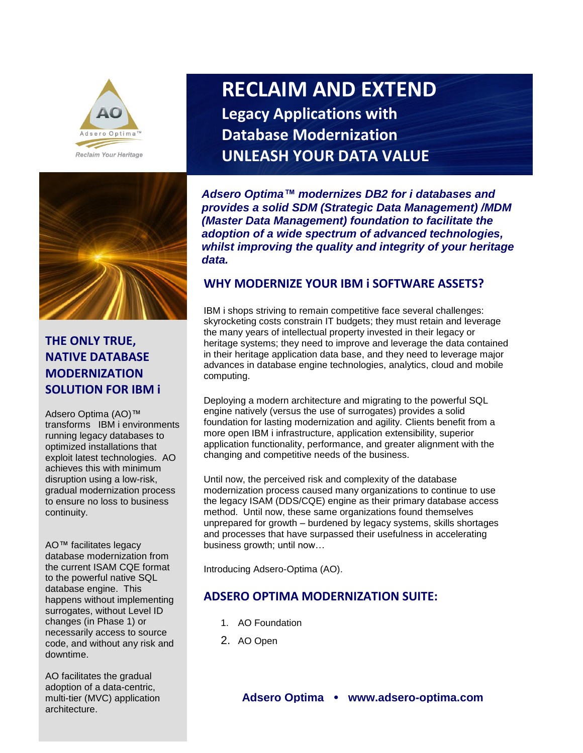



## **THE ONLY TRUE, NATIVE DATABASE MODERNIZATION SOLUTION FOR IBM i**

Adsero Optima (AO)™ transforms IBM i environments running legacy databases to optimized installations that exploit latest technologies. AO achieves this with minimum disruption using a low-risk, gradual modernization process to ensure no loss to business continuity.

AO™ facilitates legacy database modernization from the current ISAM CQE format to the powerful native SQL database engine. This happens without implementing surrogates, without Level ID changes (in Phase 1) or necessarily access to source code, and without any risk and downtime.

 $T$ equa $T$ PO Box 68324, Bryanston, 2021, South Africa. **USA Office:** +1-651-348-2468, Secretary +27 82 359 5607, Fax: +27 86 558 3626 AO facilitates the gradual adoption of a data-centric, multi-tier (MVC) application architecture.

# **RECLAIM AND EXTEND Legacy Applications with Database Modernization UNLEASH YOUR DATA VALUE**

*Adsero Optima™ modernizes DB2 for i databases and provides a solid SDM (Strategic Data Management) /MDM (Master Data Management) foundation to facilitate the adoption of a wide spectrum of advanced technologies, whilst improving the quality and integrity of your heritage data.* **UNLEASH your DATA Value**

## **WHY MODERNIZE YOUR IBM i SOFTWARE ASSETS?**

IBM i shops striving to remain competitive face several challenges: skyrocketing costs constrain IT budgets; they must retain and leverage the many years of intellectual property invested in their legacy or heritage systems; they need to improve and leverage the data contained in their heritage application data base, and they need to leverage major advances in database engine technologies, analytics, cloud and mobile computing.

Deploying a modern architecture and migrating to the powerful SQL engine natively (versus the use of surrogates) provides a solid foundation for lasting modernization and agility. Clients benefit from a more open IBM i infrastructure, application extensibility, superior application functionality, performance, and greater alignment with the changing and competitive needs of the business.

Until now, the perceived risk and complexity of the database modernization process caused many organizations to continue to use the legacy ISAM (DDS/CQE) engine as their primary database access method. Until now, these same organizations found themselves unprepared for growth – burdened by legacy systems, skills shortages and processes that have surpassed their usefulness in accelerating business growth; until now…

Introducing Adsero-Optima (AO).

## **ADSERO OPTIMA MODERNIZATION SUITE:**

- 1. AO Foundation
- 2. AO Open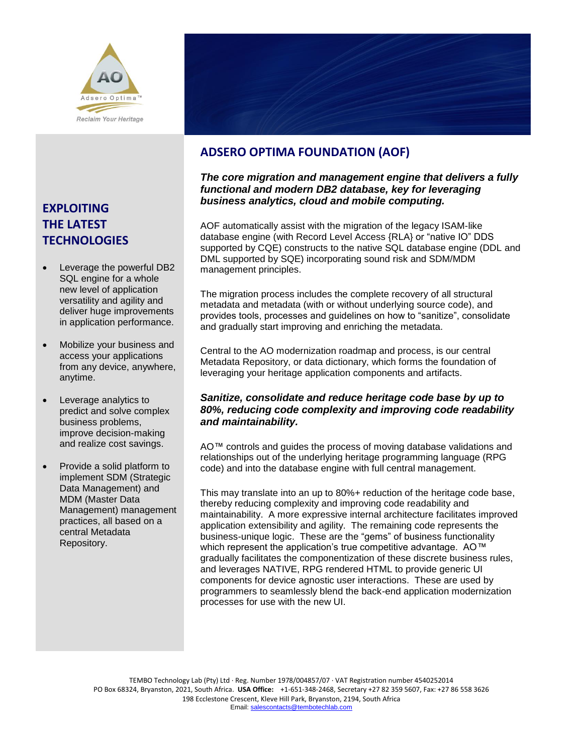

## **EXPLOITING THE LATEST TECHNOLOGIES**

- Leverage the powerful DB2 SQL engine for a whole new level of application versatility and agility and deliver huge improvements in application performance.
- Mobilize your business and access your applications from any device, anywhere, anytime.
- Leverage analytics to predict and solve complex business problems, improve decision-making and realize cost savings.
- Provide a solid platform to implement SDM (Strategic Data Management) and MDM (Master Data Management) management practices, all based on a central Metadata Repository.

## **ADSERO OPTIMA FOUNDATION (AOF)**

#### *The core migration and management engine that delivers a fully functional and modern DB2 database, key for leveraging business analytics, cloud and mobile computing.*

AOF automatically assist with the migration of the legacy ISAM-like database engine (with Record Level Access {RLA} or "native IO" DDS supported by CQE) constructs to the native SQL database engine (DDL and DML supported by SQE) incorporating sound risk and SDM/MDM management principles.

The migration process includes the complete recovery of all structural metadata and metadata (with or without underlying source code), and provides tools, processes and guidelines on how to "sanitize", consolidate and gradually start improving and enriching the metadata.

Central to the AO modernization roadmap and process, is our central Metadata Repository, or data dictionary, which forms the foundation of leveraging your heritage application components and artifacts.

#### *Sanitize, consolidate and reduce heritage code base by up to 80%, reducing code complexity and improving code readability and maintainability.*

AO™ controls and guides the process of moving database validations and relationships out of the underlying heritage programming language (RPG code) and into the database engine with full central management.

This may translate into an up to 80%+ reduction of the heritage code base, thereby reducing complexity and improving code readability and maintainability. A more expressive internal architecture facilitates improved application extensibility and agility. The remaining code represents the business-unique logic. These are the "gems" of business functionality which represent the application's true competitive advantage. AO™ gradually facilitates the componentization of these discrete business rules, and leverages NATIVE, RPG rendered HTML to provide generic UI components for device agnostic user interactions. These are used by programmers to seamlessly blend the back-end application modernization processes for use with the new UI.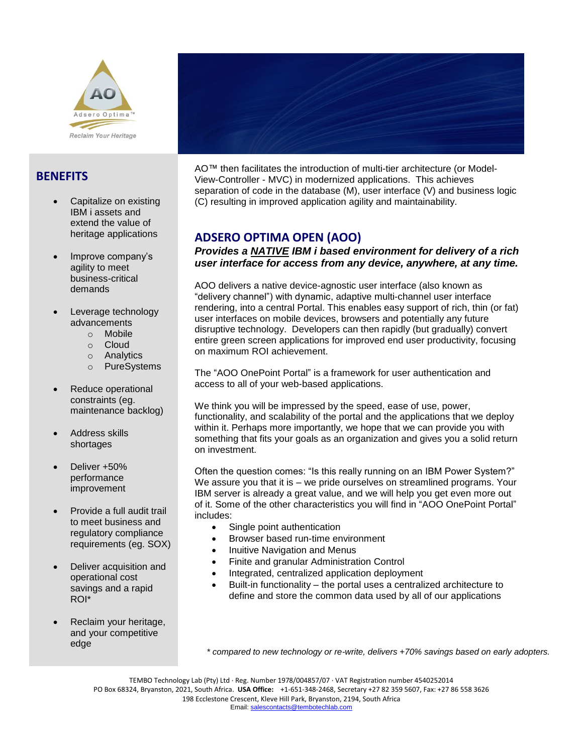

## **BENEFITS**

- Capitalize on existing IBM i assets and extend the value of heritage applications
- Improve company's agility to meet business-critical demands
- Leverage technology advancements
	- o Mobile
	- o Cloud
	- o Analytics
	- o PureSystems
- Reduce operational constraints (eg. maintenance backlog)
- Address skills shortages
- Deliver +50% performance improvement
- Provide a full audit trail to meet business and regulatory compliance requirements (eg. SOX)
- Deliver acquisition and operational cost savings and a rapid ROI\*
- Reclaim your heritage, and your competitive edge



AO™ then facilitates the introduction of multi-tier architecture (or Model-View-Controller - MVC) in modernized applications. This achieves separation of code in the database (M), user interface (V) and business logic (C) resulting in improved application agility and maintainability.

## **ADSERO OPTIMA OPEN (AOO)**

#### *Provides a NATIVE IBM i based environment for delivery of a rich user interface for access from any device, anywhere, at any time.*

AOO delivers a native device-agnostic user interface (also known as "delivery channel") with dynamic, adaptive multi-channel user interface rendering, into a central Portal. This enables easy support of rich, thin (or fat) user interfaces on mobile devices, browsers and potentially any future disruptive technology. Developers can then rapidly (but gradually) convert entire green screen applications for improved end user productivity, focusing on maximum ROI achievement.

The "AOO OnePoint Portal" is a framework for user authentication and access to all of your web-based applications.

We think you will be impressed by the speed, ease of use, power, functionality, and scalability of the portal and the applications that we deploy within it. Perhaps more importantly, we hope that we can provide you with something that fits your goals as an organization and gives you a solid return on investment.

Often the question comes: "Is this really running on an IBM Power System?" We assure you that it is – we pride ourselves on streamlined programs. Your IBM server is already a great value, and we will help you get even more out of it. Some of the other characteristics you will find in "AOO OnePoint Portal" includes:

- Single point authentication
- Browser based run-time environment
- Inuitive Navigation and Menus
- Finite and granular Administration Control
- Integrated, centralized application deployment
- Built-in functionality the portal uses a centralized architecture to define and store the common data used by all of our applications

*\* compared to new technology or re-write, delivers +70% savings based on early adopters.*

TEMBO Technology Lab (Pty) Ltd · Reg. Number 1978/004857/07 · VAT Registration number 4540252014 PO Box 68324, Bryanston, 2021, South Africa. **USA Office:** +1-651-348-2468, Secretary +27 82 359 5607, Fax: +27 86 558 3626 198 Ecclestone Crescent, Kleve Hill Park, Bryanston, 2194, South Africa Email[: salescontacts@tembotechlab.com](mailto:salescontacts@tembotechlab.com)